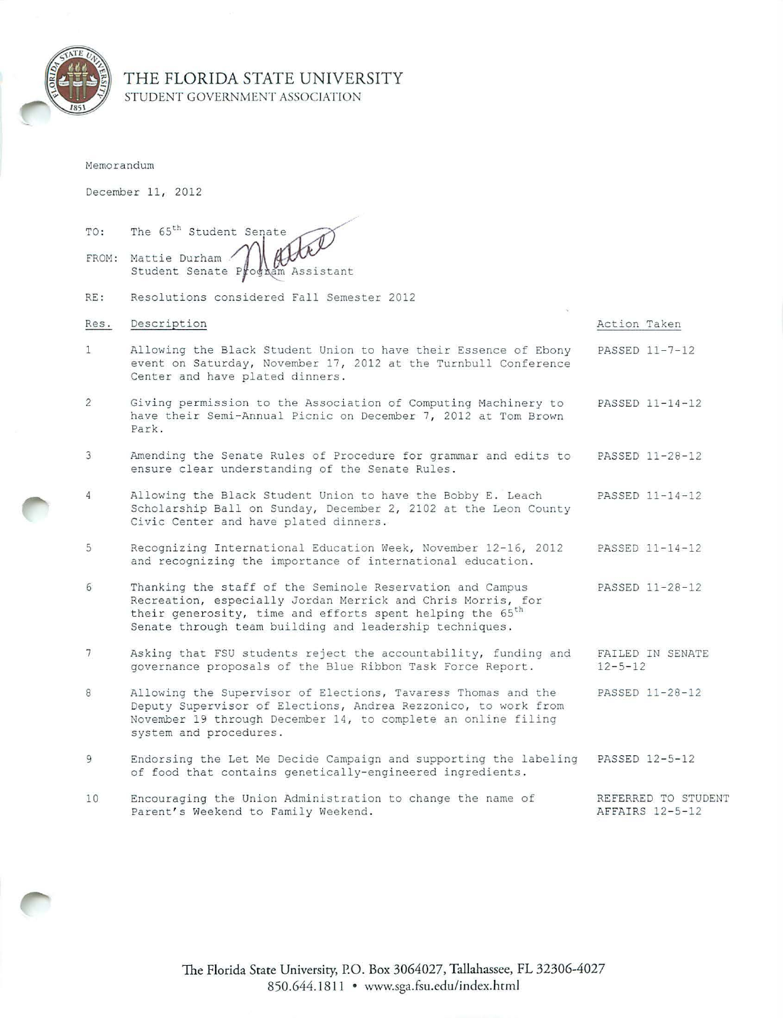

# THE FLORIDA STATE UNIVERSITY STUDENT GOVERNMENT ASSOCIATION

|      | Memorandum                                                                                                                                                                                                                                                   |                                        |  |
|------|--------------------------------------------------------------------------------------------------------------------------------------------------------------------------------------------------------------------------------------------------------------|----------------------------------------|--|
|      | December 11, 2012                                                                                                                                                                                                                                            |                                        |  |
| TO:  | The 65 <sup>th</sup> Student Senate<br>FROM: Mattie Durham<br>Student Senate P<br>odnam Assistant                                                                                                                                                            |                                        |  |
| RE:  | Resolutions considered Fall Semester 2012                                                                                                                                                                                                                    |                                        |  |
| Res. | Description                                                                                                                                                                                                                                                  | Action Taken                           |  |
| 1    | Allowing the Black Student Union to have their Essence of Ebony<br>event on Saturday, November 17, 2012 at the Turnbull Conference<br>Center and have plated dinners.                                                                                        | PASSED 11-7-12                         |  |
| 2    | Giving permission to the Association of Computing Machinery to<br>have their Semi-Annual Picnic on December 7, 2012 at Tom Brown<br>Park.                                                                                                                    | PASSED 11-14-12                        |  |
| 3    | Amending the Senate Rules of Procedure for grammar and edits to<br>ensure clear understanding of the Senate Rules.                                                                                                                                           | PASSED 11-28-12                        |  |
| 4    | Allowing the Black Student Union to have the Bobby E. Leach<br>Scholarship Ball on Sunday, December 2, 2102 at the Leon County<br>Civic Center and have plated dinners.                                                                                      | PASSED 11-14-12                        |  |
| 5    | Recognizing International Education Week, November 12-16, 2012<br>and recognizing the importance of international education.                                                                                                                                 | PASSED 11-14-12                        |  |
| 6    | Thanking the staff of the Seminole Reservation and Campus<br>Recreation, especially Jordan Merrick and Chris Morris, for<br>their generosity, time and efforts spent helping the 65 <sup>th</sup><br>Senate through team building and leadership techniques. | PASSED 11-28-12                        |  |
| 7    | Asking that FSU students reject the accountability, funding and<br>governance proposals of the Blue Ribbon Task Force Report.                                                                                                                                | FAILED IN SENATE<br>$12 - 5 - 12$      |  |
| 8    | Allowing the Supervisor of Elections, Tavaress Thomas and the<br>Deputy Supervisor of Elections, Andrea Rezzonico, to work from<br>November 19 through December 14, to complete an online filing<br>system and procedures.                                   | PASSED 11-28-12                        |  |
| 9    | Endorsing the Let Me Decide Campaign and supporting the labeling<br>of food that contains genetically-engineered ingredients.                                                                                                                                | PASSED 12-5-12                         |  |
| 10   | Encouraging the Union Administration to change the name of<br>Parent's Weekend to Family Weekend.                                                                                                                                                            | REFERRED TO STUDENT<br>AFFAIRS 12-5-12 |  |

The Florida State University, P.O. Box 3064027, Tallahassee, FL 32306-4027 850.644.1811 • www.sga.fsu.edu/index.html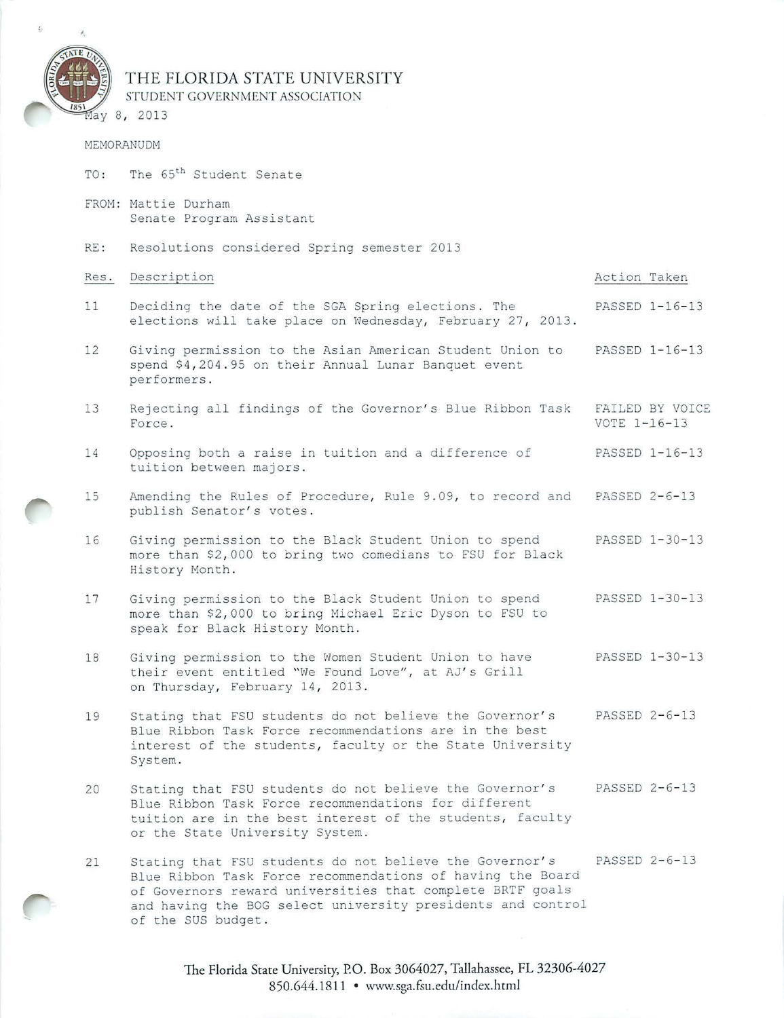

# THE FLORIDA STATE UNIVERSITY STUDENT GOVERNMENT ASSOCIATION

### MEMORANUDM

- TO: The 65<sup>th</sup> Student Senate
- FROM: Mattie Durham Senate Program Assistant
- RE: Resolutions considered Spring semester 2013

or the State University System.

| Res. | Description                                                                                                                                                                               | Action Taken                    |
|------|-------------------------------------------------------------------------------------------------------------------------------------------------------------------------------------------|---------------------------------|
| 11   | Deciding the date of the SGA Spring elections. The<br>elections will take place on Wednesday, February 27, 2013.                                                                          | PASSED 1-16-13                  |
| 12   | Giving permission to the Asian American Student Union to<br>spend \$4,204.95 on their Annual Lunar Banquet event<br>performers.                                                           | PASSED 1-16-13                  |
| 13   | Rejecting all findings of the Governor's Blue Ribbon Task<br>Force.                                                                                                                       | FAILED BY VOICE<br>VOTE 1-16-13 |
| 14   | Opposing both a raise in tuition and a difference of<br>tuition between majors.                                                                                                           | PASSED 1-16-13                  |
| 15   | Amending the Rules of Procedure, Rule 9.09, to record and<br>publish Senator's votes.                                                                                                     | PASSED 2-6-13                   |
| 16   | Giving permission to the Black Student Union to spend<br>more than \$2,000 to bring two comedians to FSU for Black<br>History Month.                                                      | PASSED 1-30-13                  |
| 17   | Giving permission to the Black Student Union to spend<br>more than \$2,000 to bring Michael Eric Dyson to FSU to<br>speak for Black History Month.                                        | PASSED 1-30-13                  |
| 18   | Giving permission to the Women Student Union to have<br>their event entitled "We Found Love", at AJ's Grill<br>on Thursday, February 14, 2013.                                            | PASSED 1-30-13                  |
| 19   | Stating that FSU students do not believe the Governor's<br>Blue Ribbon Task Force recommendations are in the best<br>interest of the students, faculty or the State University<br>System. | PASSED 2-6-13                   |
| 20   | Stating that FSU students do not believe the Governor's<br>Blue Ribbon Task Force recommendations for different<br>tuition are in the best interest of the students, faculty              | PASSED 2-6-13                   |

21 Stating that FSU students do not believe the Governor's PASSED 2-6-13 Blue Ribbon Task Force recommendations of having the Board of Governors reward universities that complete BRTF goals and having the BOG select university presidents and control of the SUS budget .

> The Florida State University, P.O. Box 3064027, Tallahassee, FL 32306-4027 850.644.1811 • www.sga.fsu.edu/index.html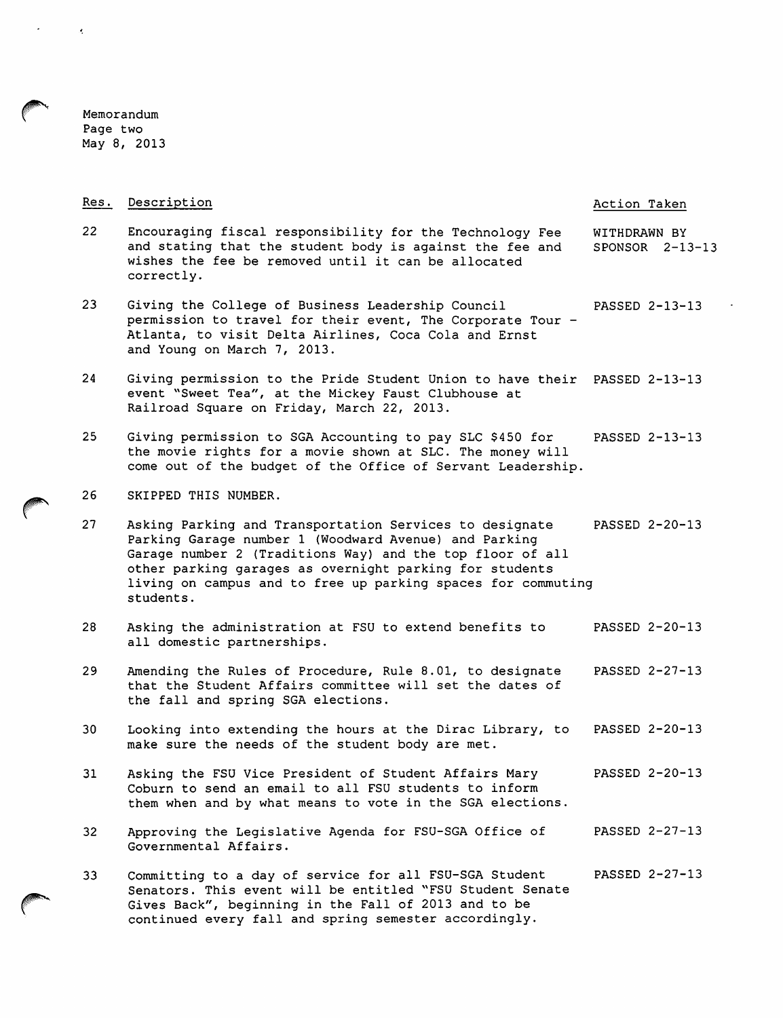~ Memorandum Page two May 8, 2013

| Res. | Description                                                                                                                                                                                                                                                                                                           | Action Taken                        |
|------|-----------------------------------------------------------------------------------------------------------------------------------------------------------------------------------------------------------------------------------------------------------------------------------------------------------------------|-------------------------------------|
| 22   | Encouraging fiscal responsibility for the Technology Fee<br>and stating that the student body is against the fee and<br>wishes the fee be removed until it can be allocated<br>correctly.                                                                                                                             | WITHDRAWN BY<br>$SPONSOR$ $2-13-13$ |
| 23   | Giving the College of Business Leadership Council<br>permission to travel for their event, The Corporate Tour -<br>Atlanta, to visit Delta Airlines, Coca Cola and Ernst<br>and Young on March 7, 2013.                                                                                                               | PASSED 2-13-13                      |
| 24   | Giving permission to the Pride Student Union to have their<br>event "Sweet Tea", at the Mickey Faust Clubhouse at<br>Railroad Square on Friday, March 22, 2013.                                                                                                                                                       | PASSED 2-13-13                      |
| 25   | Giving permission to SGA Accounting to pay SLC \$450 for<br>the movie rights for a movie shown at SLC. The money will<br>come out of the budget of the Office of Servant Leadership.                                                                                                                                  | PASSED 2-13-13                      |
| 26   | SKIPPED THIS NUMBER.                                                                                                                                                                                                                                                                                                  |                                     |
| 27   | Asking Parking and Transportation Services to designate<br>Parking Garage number 1 (Woodward Avenue) and Parking<br>Garage number 2 (Traditions Way) and the top floor of all<br>other parking garages as overnight parking for students<br>living on campus and to free up parking spaces for commuting<br>students. | PASSED 2-20-13                      |
| 28   | Asking the administration at FSU to extend benefits to<br>all domestic partnerships.                                                                                                                                                                                                                                  | PASSED 2-20-13                      |
| 29   | Amending the Rules of Procedure, Rule 8.01, to designate<br>that the Student Affairs committee will set the dates of<br>the fall and spring SGA elections.                                                                                                                                                            | PASSED 2-27-13                      |
| 30   | Looking into extending the hours at the Dirac Library, to<br>make sure the needs of the student body are met.                                                                                                                                                                                                         | PASSED 2-20-13                      |
| 31   | Asking the FSU Vice President of Student Affairs Mary<br>Coburn to send an email to all FSU students to inform<br>them when and by what means to vote in the SGA elections.                                                                                                                                           | PASSED 2-20-13                      |
| 32   | Approving the Legislative Agenda for FSU-SGA Office of<br>Governmental Affairs.                                                                                                                                                                                                                                       | PASSED 2-27-13                      |
| 33   | Committing to a day of service for all FSU-SGA Student<br>Senators. This event will be entitled "FSU Student Senate<br>Gives Back", beginning in the Fall of 2013 and to be<br>continued every fall and spring semester accordingly.                                                                                  | PASSED 2-27-13                      |

 $\hat{\mathcal{A}}$ 

 $\epsilon$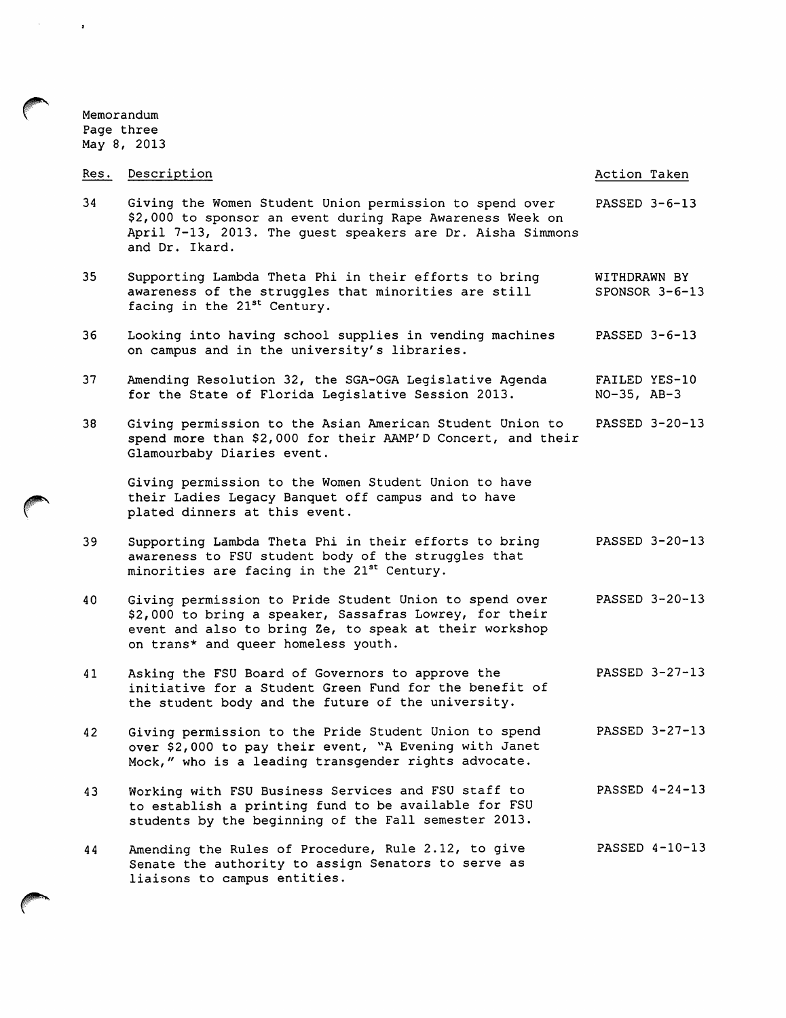Memorandum Page three May 8, 2013

 $\mathcal{A}^{\text{max}}_{\text{max}}$ 

**Contract Contract Contract Contract Contract Contract Contract Contract Contract Contract Contract Contract Contract Contract Contract Contract Contract Contract Contract Contract Contract Contract Contract Contract Contr** 

| Res. | Description                                                                                                                                                                                                        | Action Taken                      |
|------|--------------------------------------------------------------------------------------------------------------------------------------------------------------------------------------------------------------------|-----------------------------------|
| 34   | Giving the Women Student Union permission to spend over<br>\$2,000 to sponsor an event during Rape Awareness Week on<br>April 7-13, 2013. The guest speakers are Dr. Aisha Simmons<br>and Dr. Ikard.               | PASSED 3-6-13                     |
| 35   | Supporting Lambda Theta Phi in their efforts to bring<br>awareness of the struggles that minorities are still<br>facing in the 21 <sup>st</sup> Century.                                                           | WITHDRAWN BY<br>SPONSOR $3-6-13$  |
| 36   | Looking into having school supplies in vending machines<br>on campus and in the university's libraries.                                                                                                            | PASSED $3-6-13$                   |
| 37   | Amending Resolution 32, the SGA-OGA Legislative Agenda<br>for the State of Florida Legislative Session 2013.                                                                                                       | FAILED YES-10<br>$NO-35$ , $AB-3$ |
| 38   | Giving permission to the Asian American Student Union to<br>spend more than \$2,000 for their AAMP'D Concert, and their<br>Glamourbaby Diaries event.                                                              | PASSED 3-20-13                    |
|      | Giving permission to the Women Student Union to have<br>their Ladies Legacy Banquet off campus and to have<br>plated dinners at this event.                                                                        |                                   |
| 39   | Supporting Lambda Theta Phi in their efforts to bring<br>awareness to FSU student body of the struggles that<br>minorities are facing in the 21 <sup>st</sup> Century.                                             | PASSED 3-20-13                    |
| 40   | Giving permission to Pride Student Union to spend over<br>\$2,000 to bring a speaker, Sassafras Lowrey, for their<br>event and also to bring Ze, to speak at their workshop<br>on trans* and queer homeless youth. | PASSED 3-20-13                    |
| 41   | Asking the FSU Board of Governors to approve the<br>initiative for a Student Green Fund for the benefit of<br>the student body and the future of the university.                                                   | PASSED 3-27-13                    |
| 42   | Giving permission to the Pride Student Union to spend<br>over \$2,000 to pay their event, "A Evening with Janet<br>Mock," who is a leading transgender rights advocate.                                            | PASSED 3-27-13                    |
| 43   | Working with FSU Business Services and FSU staff to<br>to establish a printing fund to be available for FSU<br>students by the beginning of the Fall semester 2013.                                                | PASSED 4-24-13                    |
| 44   | Amending the Rules of Procedure, Rule 2.12, to give<br>Senate the authority to assign Senators to serve as<br>liaisons to campus entities.                                                                         | PASSED 4-10-13                    |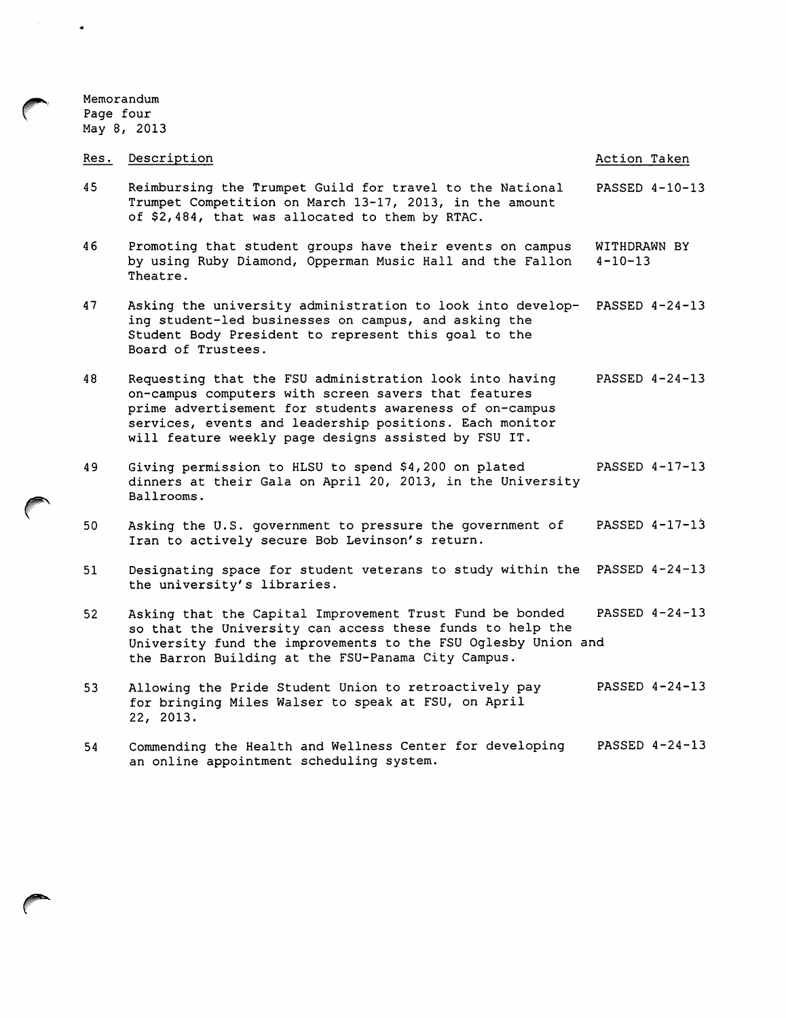Memorandum Page four May 8, 2013

### Res. Description 45 46 47 48 49 so 51 Reimbursing the Trumpet Guild for travel to the National Trumpet Competition on March 13-17, 2013, in the amount of \$2,484, that was allocated to them by RTAC. Promoting that student groups have their events on campus by using Ruby Diamond, Opperman Music Hall and the Fallon Theatre. Asking the university administration to look into develop-PASSED 4-24-13 ing student-led businesses on campus, and asking the Student Body President to represent this goal to the Board of Trustees. Requesting that the FSU administration look into having on-campus computers with screen savers that features prime advertisement for students awareness of on-campus services, events and leadership positions. Each monitor will feature weekly page designs assisted by FSU IT. Giving permission to HLSU to spend \$4,200 on plated dinners at their Gala on April 20, 2013, in the University Ballrooms. Asking the U.S. government to pressure the government of Iran to actively secure Bob Levinson's return. Designating space for student veterans to study within the PASSED 4-24-13 the university's libraries. Action Taken PASSED 4-10-13 WITHDRAWN BY  $4 - 10 - 13$ PASSED 4-24-13 PASSED 4-17-13 PASSED 4-17-13 52 Asking that the Capital Improvement Trust Fund be bonded PASSED 4-24-13 so that the University can access these funds to help the

53 Allowing the Pride Student Union to retroactively pay for bringing Miles Walser to speak at FSU, on April 22, 2013. PASSED 4-24-13

University fund the improvements to the FSU Oglesby Union and

the Barron Building at the FSU-Panama City Campus.

54 Commending the Health and Wellness Center for developing an online appointment scheduling system. PASSED 4-24-13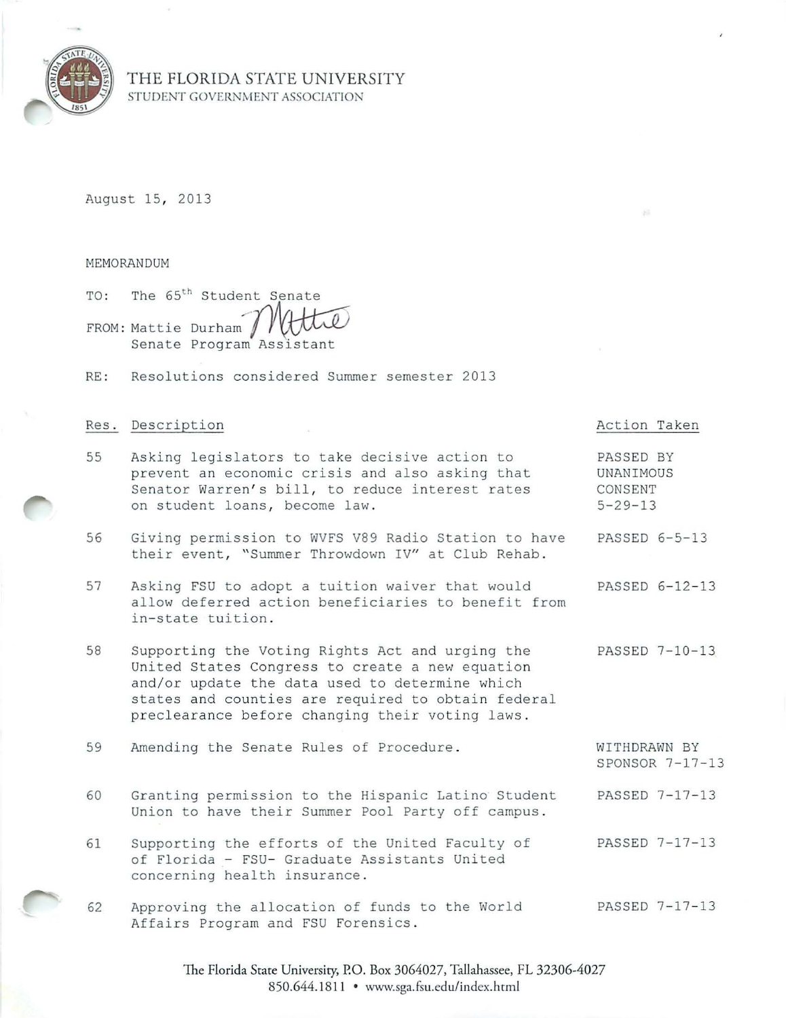

## THE FLORIDA STATE UNIVERSITY STUDENT GOVERNMENT ASSOCIATION

August 15, 2013

MEMORANDUM

TO: FROM: Mattie The 65<sup>th</sup> Student Senate Senate Program Student Senate<br>Durham Muttel<br>Program Assistant

RE : Resol utions considered Summer semester 2013

### Res. Description

- 55 Asking legislators to take decisive action to prevent an economic crisis and also asking that Senator Warren's bill, to reduce interest rates on student loans, become law.
- 56 Giving permission to WVFS V89 Radio Station to have their event, "Summer Throwdown IV" at Club Rehab. PASSED 6-5-13
- 57 Asking FSU to adopt a tuition waiver that would allow deferred action beneficiaries to benefit from in-state tuition . PASSED 6-12-13
- 58 Supporting the Voting Rights Act and urging the United States Congress to create a new equation and/or update the data used to determine which states and counties are required to obtain federal preclearance before changing their voting laws. PASSED 7-10-13

Action Taken

PASSED BY UNANIMOUS CONSENT  $5 - 29 - 13$ 

- 59 Amending the Senate Rules of Procedure . WITHDRAWN BY SPONSOR 7-17-13
- 60 Granting permission to the Hispanic Latino Student Union to have their Summer Pool Party off campus . PASSED 7-17-13
- 61 Supporting the efforts of the United Faculty of of Florida - FSU- Graduate Assistants United concerning health insurance . PASSED 7-17-13
- 62 Approving the allocation of funds to the World Affairs Program and FSU Forensics . PASSED 7-17-13

The Florida State University, P.O. Box 3064027, Tallahassee, FL 32306-4027 850.644.1811 • www.sga.fsu.edu/index.html